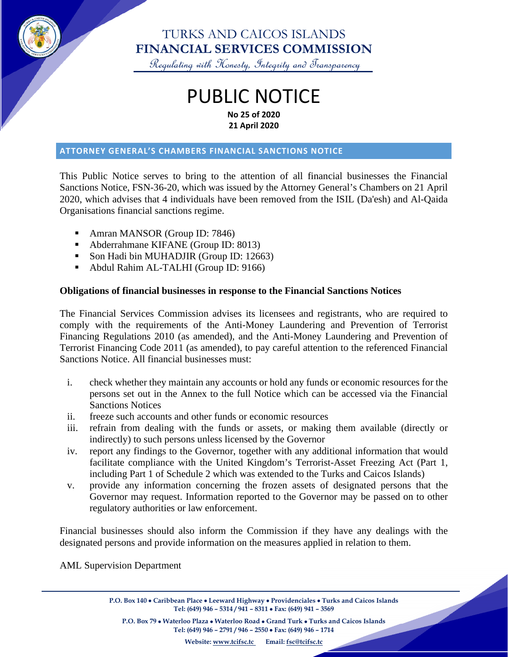

## TURKS AND CAICOS ISLANDS **FINANCIAL SERVICES COMMISSION**

Regulating with Honesty, Integrity and Transparency

## PUBLIC NOTICE **No 25 of 2020 21 April 2020**

#### **ATTORNEY GENERAL'S CHAMBERS FINANCIAL SANCTIONS NOTICE**

This Public Notice serves to bring to the attention of all financial businesses the Financial Sanctions Notice, FSN-36-20, which was issued by the Attorney General's Chambers on 21 April 2020, which advises that 4 individuals have been removed from the ISIL (Da'esh) and Al-Qaida Organisations financial sanctions regime.

- Amran MANSOR (Group ID: 7846)
- Abderrahmane KIFANE (Group ID: 8013)
- Son Hadi bin MUHADJIR (Group ID: 12663)
- Abdul Rahim AL-TALHI (Group ID: 9166)

### **Obligations of financial businesses in response to the Financial Sanctions Notices**

The Financial Services Commission advises its licensees and registrants, who are required to comply with the requirements of the Anti-Money Laundering and Prevention of Terrorist Financing Regulations 2010 (as amended), and the Anti-Money Laundering and Prevention of Terrorist Financing Code 2011 (as amended), to pay careful attention to the referenced Financial Sanctions Notice. All financial businesses must:

- i. check whether they maintain any accounts or hold any funds or economic resources for the persons set out in the Annex to the full Notice which can be accessed via the Financial Sanctions Notices
- ii. freeze such accounts and other funds or economic resources
- iii. refrain from dealing with the funds or assets, or making them available (directly or indirectly) to such persons unless licensed by the Governor
- iv. report any findings to the Governor, together with any additional information that would facilitate compliance with the United Kingdom's Terrorist-Asset Freezing Act (Part 1, including Part 1 of Schedule 2 which was extended to the Turks and Caicos Islands)
- v. provide any information concerning the frozen assets of designated persons that the Governor may request. Information reported to the Governor may be passed on to other regulatory authorities or law enforcement.

Financial businesses should also inform the Commission if they have any dealings with the designated persons and provide information on the measures applied in relation to them.

AML Supervision Department

**P.O. Box 140** • **Caribbean Place** • **Leeward Highway** • **Providenciales** • **Turks and Caicos Islands Tel: (649) 946 – 5314 / 941 – 8311** • **Fax: (649) 941 – 3569**

**P.O. Box 79** • **Waterloo Plaza** • **Waterloo Road** • **Grand Turk** • **Turks and Caicos Islands Tel: (649) 946 – 2791 / 946 – 2550** • **Fax: (649) 946 – 1714**

**Website: [www.tcifsc.tc](http://www.tcifsc.tc/) Email[: fsc@tcifsc.tc](mailto:fsc@tcifsc.tc)**